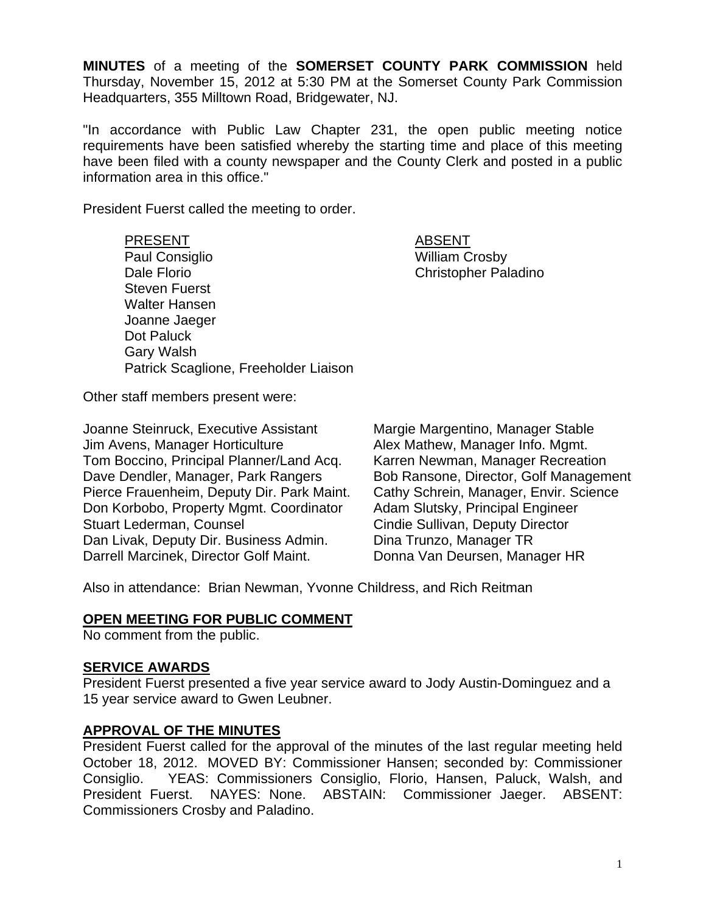**MINUTES** of a meeting of the **SOMERSET COUNTY PARK COMMISSION** held Thursday, November 15, 2012 at 5:30 PM at the Somerset County Park Commission Headquarters, 355 Milltown Road, Bridgewater, NJ.

"In accordance with Public Law Chapter 231, the open public meeting notice requirements have been satisfied whereby the starting time and place of this meeting have been filed with a county newspaper and the County Clerk and posted in a public information area in this office."

President Fuerst called the meeting to order.

# PRESENT ABSENT

Paul Consiglio North Crosby Nilliam Crosby Dale Florio **Christopher Paladino** Steven Fuerst Walter Hansen Joanne Jaeger Dot Paluck Gary Walsh Patrick Scaglione, Freeholder Liaison

Other staff members present were:

Joanne Steinruck, Executive Assistant Margie Margentino, Manager Stable Jim Avens, Manager Horticulture Alex Mathew, Manager Info. Mgmt. Tom Boccino, Principal Planner/Land Acq. Karren Newman, Manager Recreation Dave Dendler, Manager, Park Rangers Bob Ransone, Director, Golf Management Pierce Frauenheim, Deputy Dir. Park Maint. Cathy Schrein, Manager, Envir. Science Don Korbobo, Property Mgmt. Coordinator Adam Slutsky, Principal Engineer Stuart Lederman, Counsel **Conserverse Conserverse Cindie Sullivan, Deputy Director** Dan Livak, Deputy Dir. Business Admin. Dina Trunzo, Manager TR Darrell Marcinek, Director Golf Maint. Donna Van Deursen, Manager HR

Also in attendance: Brian Newman, Yvonne Childress, and Rich Reitman

### **OPEN MEETING FOR PUBLIC COMMENT**

No comment from the public.

#### **SERVICE AWARDS**

President Fuerst presented a five year service award to Jody Austin-Dominguez and a 15 year service award to Gwen Leubner.

### **APPROVAL OF THE MINUTES**

President Fuerst called for the approval of the minutes of the last regular meeting held October 18, 2012. MOVED BY: Commissioner Hansen; seconded by: Commissioner Consiglio. YEAS: Commissioners Consiglio, Florio, Hansen, Paluck, Walsh, and President Fuerst. NAYES: None. ABSTAIN: Commissioner Jaeger. ABSENT: Commissioners Crosby and Paladino.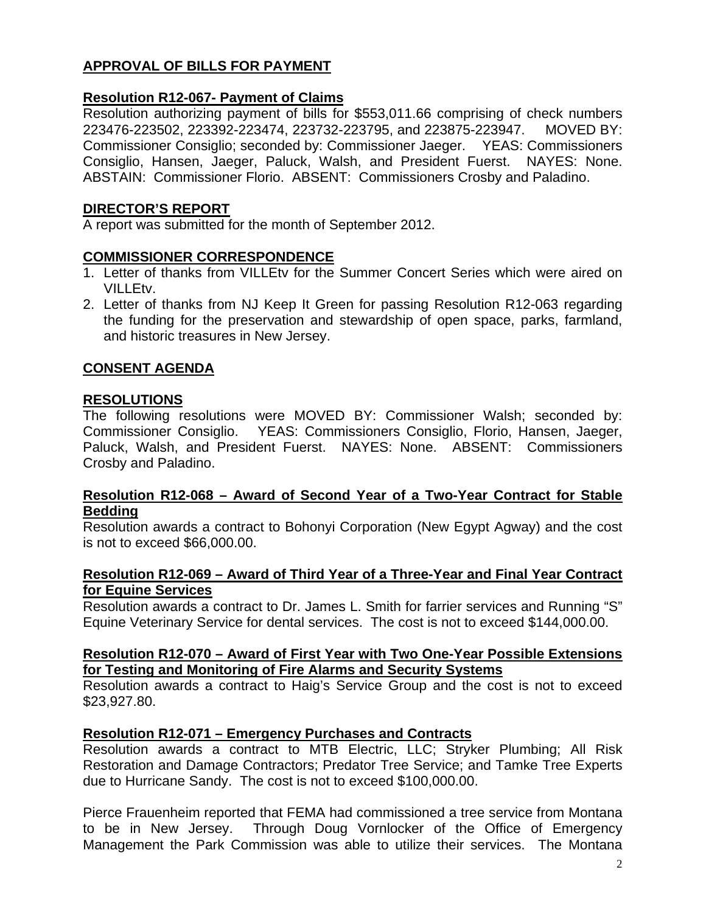# **APPROVAL OF BILLS FOR PAYMENT**

### **Resolution R12-067- Payment of Claims**

Resolution authorizing payment of bills for \$553,011.66 comprising of check numbers 223476-223502, 223392-223474, 223732-223795, and 223875-223947. MOVED BY: Commissioner Consiglio; seconded by: Commissioner Jaeger. YEAS: Commissioners Consiglio, Hansen, Jaeger, Paluck, Walsh, and President Fuerst. NAYES: None. ABSTAIN: Commissioner Florio. ABSENT: Commissioners Crosby and Paladino.

### **DIRECTOR'S REPORT**

A report was submitted for the month of September 2012.

### **COMMISSIONER CORRESPONDENCE**

- 1. Letter of thanks from VILLEtv for the Summer Concert Series which were aired on VILLEtv.
- 2. Letter of thanks from NJ Keep It Green for passing Resolution R12-063 regarding the funding for the preservation and stewardship of open space, parks, farmland, and historic treasures in New Jersey.

### **CONSENT AGENDA**

### **RESOLUTIONS**

The following resolutions were MOVED BY: Commissioner Walsh; seconded by: Commissioner Consiglio. YEAS: Commissioners Consiglio, Florio, Hansen, Jaeger, Paluck, Walsh, and President Fuerst. NAYES: None. ABSENT: Commissioners Crosby and Paladino.

#### **Resolution R12-068 – Award of Second Year of a Two-Year Contract for Stable Bedding**

Resolution awards a contract to Bohonyi Corporation (New Egypt Agway) and the cost is not to exceed \$66,000.00.

#### **Resolution R12-069 – Award of Third Year of a Three-Year and Final Year Contract for Equine Services**

Resolution awards a contract to Dr. James L. Smith for farrier services and Running "S" Equine Veterinary Service for dental services. The cost is not to exceed \$144,000.00.

#### **Resolution R12-070 – Award of First Year with Two One-Year Possible Extensions for Testing and Monitoring of Fire Alarms and Security Systems**

Resolution awards a contract to Haig's Service Group and the cost is not to exceed \$23,927.80.

### **Resolution R12-071 – Emergency Purchases and Contracts**

Resolution awards a contract to MTB Electric, LLC; Stryker Plumbing; All Risk Restoration and Damage Contractors; Predator Tree Service; and Tamke Tree Experts due to Hurricane Sandy. The cost is not to exceed \$100,000.00.

Pierce Frauenheim reported that FEMA had commissioned a tree service from Montana to be in New Jersey. Through Doug Vornlocker of the Office of Emergency Management the Park Commission was able to utilize their services. The Montana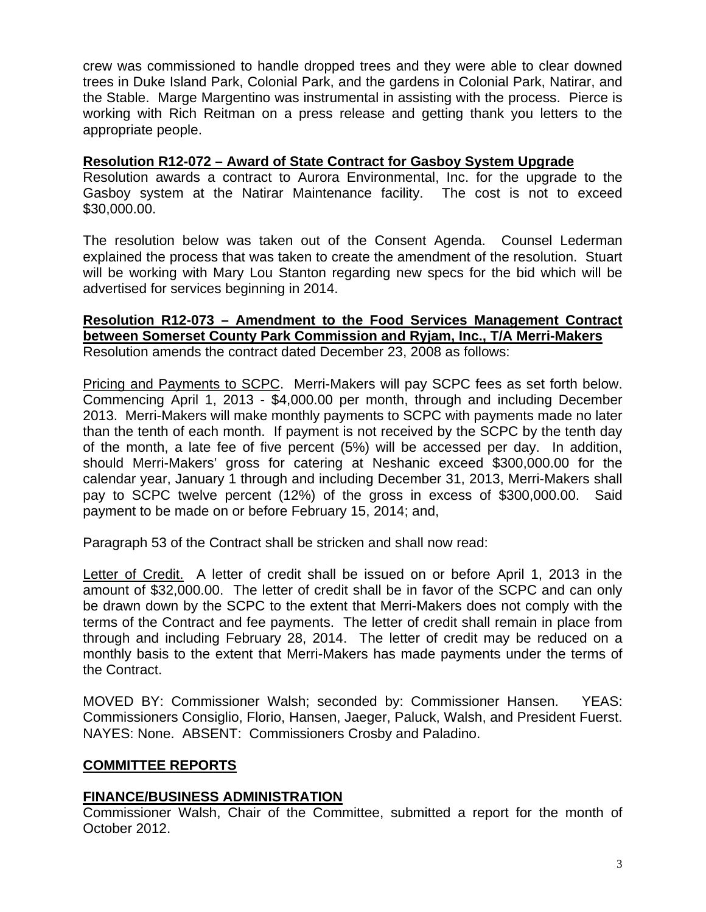crew was commissioned to handle dropped trees and they were able to clear downed trees in Duke Island Park, Colonial Park, and the gardens in Colonial Park, Natirar, and the Stable. Marge Margentino was instrumental in assisting with the process. Pierce is working with Rich Reitman on a press release and getting thank you letters to the appropriate people.

### **Resolution R12-072 – Award of State Contract for Gasboy System Upgrade**

Resolution awards a contract to Aurora Environmental, Inc. for the upgrade to the Gasboy system at the Natirar Maintenance facility. The cost is not to exceed \$30,000.00.

The resolution below was taken out of the Consent Agenda. Counsel Lederman explained the process that was taken to create the amendment of the resolution. Stuart will be working with Mary Lou Stanton regarding new specs for the bid which will be advertised for services beginning in 2014.

#### **Resolution R12-073 – Amendment to the Food Services Management Contract between Somerset County Park Commission and Ryjam, Inc., T/A Merri-Makers**  Resolution amends the contract dated December 23, 2008 as follows:

Pricing and Payments to SCPC. Merri-Makers will pay SCPC fees as set forth below. Commencing April 1, 2013 - \$4,000.00 per month, through and including December 2013. Merri-Makers will make monthly payments to SCPC with payments made no later than the tenth of each month. If payment is not received by the SCPC by the tenth day of the month, a late fee of five percent (5%) will be accessed per day. In addition, should Merri-Makers' gross for catering at Neshanic exceed \$300,000.00 for the calendar year, January 1 through and including December 31, 2013, Merri-Makers shall pay to SCPC twelve percent (12%) of the gross in excess of \$300,000.00. Said payment to be made on or before February 15, 2014; and,

Paragraph 53 of the Contract shall be stricken and shall now read:

Letter of Credit. A letter of credit shall be issued on or before April 1, 2013 in the amount of \$32,000.00. The letter of credit shall be in favor of the SCPC and can only be drawn down by the SCPC to the extent that Merri-Makers does not comply with the terms of the Contract and fee payments. The letter of credit shall remain in place from through and including February 28, 2014. The letter of credit may be reduced on a monthly basis to the extent that Merri-Makers has made payments under the terms of the Contract.

MOVED BY: Commissioner Walsh; seconded by: Commissioner Hansen. YEAS: Commissioners Consiglio, Florio, Hansen, Jaeger, Paluck, Walsh, and President Fuerst. NAYES: None. ABSENT: Commissioners Crosby and Paladino.

# **COMMITTEE REPORTS**

# **FINANCE/BUSINESS ADMINISTRATION**

Commissioner Walsh, Chair of the Committee, submitted a report for the month of October 2012.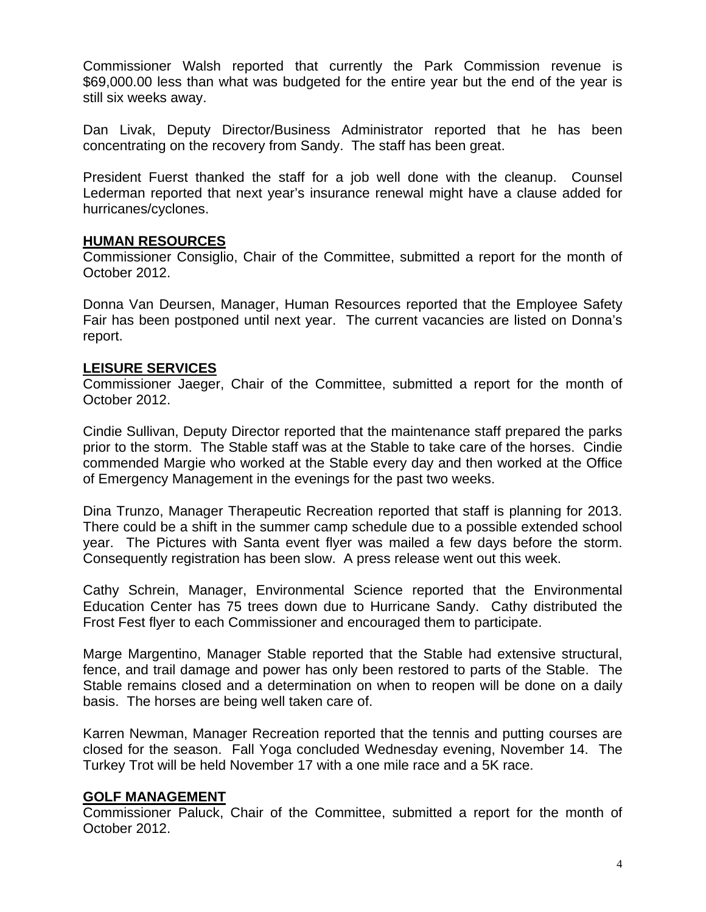Commissioner Walsh reported that currently the Park Commission revenue is \$69,000.00 less than what was budgeted for the entire year but the end of the year is still six weeks away.

Dan Livak, Deputy Director/Business Administrator reported that he has been concentrating on the recovery from Sandy. The staff has been great.

President Fuerst thanked the staff for a job well done with the cleanup. Counsel Lederman reported that next year's insurance renewal might have a clause added for hurricanes/cyclones.

### **HUMAN RESOURCES**

Commissioner Consiglio, Chair of the Committee, submitted a report for the month of October 2012.

Donna Van Deursen, Manager, Human Resources reported that the Employee Safety Fair has been postponed until next year. The current vacancies are listed on Donna's report.

### **LEISURE SERVICES**

Commissioner Jaeger, Chair of the Committee, submitted a report for the month of October 2012.

Cindie Sullivan, Deputy Director reported that the maintenance staff prepared the parks prior to the storm. The Stable staff was at the Stable to take care of the horses. Cindie commended Margie who worked at the Stable every day and then worked at the Office of Emergency Management in the evenings for the past two weeks.

Dina Trunzo, Manager Therapeutic Recreation reported that staff is planning for 2013. There could be a shift in the summer camp schedule due to a possible extended school year. The Pictures with Santa event flyer was mailed a few days before the storm. Consequently registration has been slow. A press release went out this week.

Cathy Schrein, Manager, Environmental Science reported that the Environmental Education Center has 75 trees down due to Hurricane Sandy. Cathy distributed the Frost Fest flyer to each Commissioner and encouraged them to participate.

Marge Margentino, Manager Stable reported that the Stable had extensive structural, fence, and trail damage and power has only been restored to parts of the Stable. The Stable remains closed and a determination on when to reopen will be done on a daily basis. The horses are being well taken care of.

Karren Newman, Manager Recreation reported that the tennis and putting courses are closed for the season. Fall Yoga concluded Wednesday evening, November 14. The Turkey Trot will be held November 17 with a one mile race and a 5K race.

### **GOLF MANAGEMENT**

Commissioner Paluck, Chair of the Committee, submitted a report for the month of October 2012.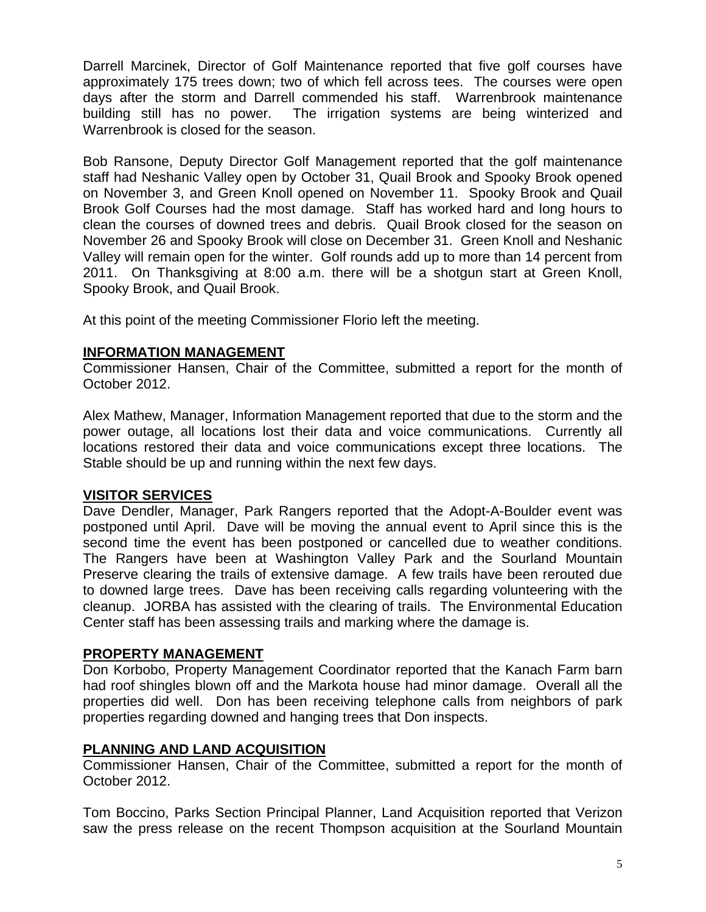Darrell Marcinek, Director of Golf Maintenance reported that five golf courses have approximately 175 trees down; two of which fell across tees. The courses were open days after the storm and Darrell commended his staff. Warrenbrook maintenance building still has no power. The irrigation systems are being winterized and Warrenbrook is closed for the season.

Bob Ransone, Deputy Director Golf Management reported that the golf maintenance staff had Neshanic Valley open by October 31, Quail Brook and Spooky Brook opened on November 3, and Green Knoll opened on November 11. Spooky Brook and Quail Brook Golf Courses had the most damage. Staff has worked hard and long hours to clean the courses of downed trees and debris. Quail Brook closed for the season on November 26 and Spooky Brook will close on December 31. Green Knoll and Neshanic Valley will remain open for the winter. Golf rounds add up to more than 14 percent from 2011. On Thanksgiving at 8:00 a.m. there will be a shotgun start at Green Knoll, Spooky Brook, and Quail Brook.

At this point of the meeting Commissioner Florio left the meeting.

# **INFORMATION MANAGEMENT**

Commissioner Hansen, Chair of the Committee, submitted a report for the month of October 2012.

Alex Mathew, Manager, Information Management reported that due to the storm and the power outage, all locations lost their data and voice communications. Currently all locations restored their data and voice communications except three locations. The Stable should be up and running within the next few days.

### **VISITOR SERVICES**

Dave Dendler, Manager, Park Rangers reported that the Adopt-A-Boulder event was postponed until April. Dave will be moving the annual event to April since this is the second time the event has been postponed or cancelled due to weather conditions. The Rangers have been at Washington Valley Park and the Sourland Mountain Preserve clearing the trails of extensive damage. A few trails have been rerouted due to downed large trees. Dave has been receiving calls regarding volunteering with the cleanup. JORBA has assisted with the clearing of trails. The Environmental Education Center staff has been assessing trails and marking where the damage is.

### **PROPERTY MANAGEMENT**

Don Korbobo, Property Management Coordinator reported that the Kanach Farm barn had roof shingles blown off and the Markota house had minor damage. Overall all the properties did well. Don has been receiving telephone calls from neighbors of park properties regarding downed and hanging trees that Don inspects.

# **PLANNING AND LAND ACQUISITION**

Commissioner Hansen, Chair of the Committee, submitted a report for the month of October 2012.

Tom Boccino, Parks Section Principal Planner, Land Acquisition reported that Verizon saw the press release on the recent Thompson acquisition at the Sourland Mountain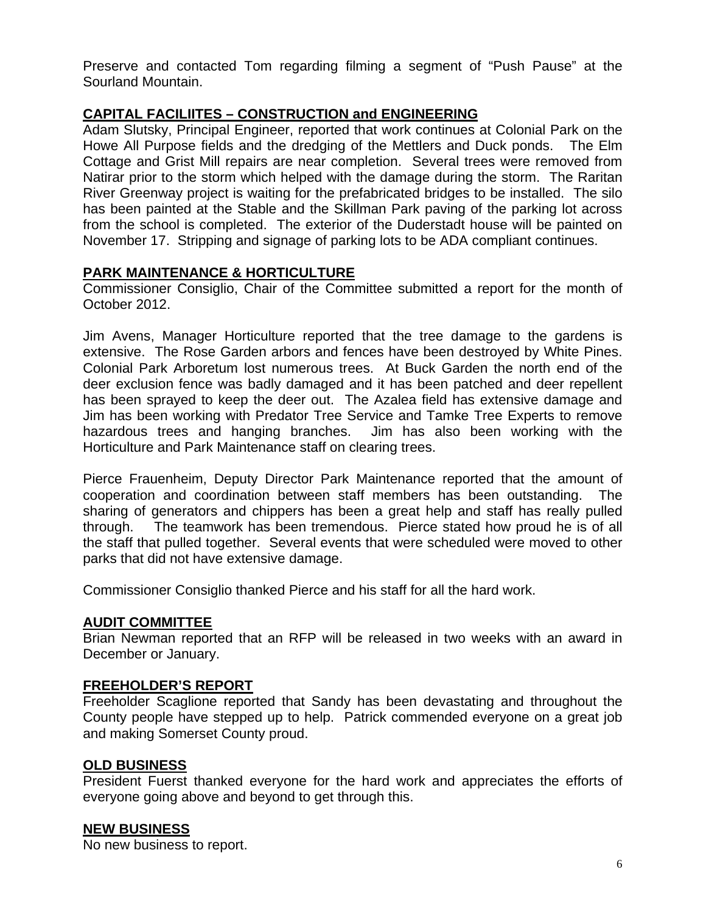Preserve and contacted Tom regarding filming a segment of "Push Pause" at the Sourland Mountain.

# **CAPITAL FACILIITES – CONSTRUCTION and ENGINEERING**

Adam Slutsky, Principal Engineer, reported that work continues at Colonial Park on the Howe All Purpose fields and the dredging of the Mettlers and Duck ponds. The Elm Cottage and Grist Mill repairs are near completion. Several trees were removed from Natirar prior to the storm which helped with the damage during the storm. The Raritan River Greenway project is waiting for the prefabricated bridges to be installed. The silo has been painted at the Stable and the Skillman Park paving of the parking lot across from the school is completed. The exterior of the Duderstadt house will be painted on November 17. Stripping and signage of parking lots to be ADA compliant continues.

### **PARK MAINTENANCE & HORTICULTURE**

Commissioner Consiglio, Chair of the Committee submitted a report for the month of October 2012.

Jim Avens, Manager Horticulture reported that the tree damage to the gardens is extensive. The Rose Garden arbors and fences have been destroyed by White Pines. Colonial Park Arboretum lost numerous trees. At Buck Garden the north end of the deer exclusion fence was badly damaged and it has been patched and deer repellent has been sprayed to keep the deer out. The Azalea field has extensive damage and Jim has been working with Predator Tree Service and Tamke Tree Experts to remove hazardous trees and hanging branches. Jim has also been working with the Horticulture and Park Maintenance staff on clearing trees.

Pierce Frauenheim, Deputy Director Park Maintenance reported that the amount of cooperation and coordination between staff members has been outstanding. The sharing of generators and chippers has been a great help and staff has really pulled through. The teamwork has been tremendous. Pierce stated how proud he is of all the staff that pulled together. Several events that were scheduled were moved to other parks that did not have extensive damage.

Commissioner Consiglio thanked Pierce and his staff for all the hard work.

### **AUDIT COMMITTEE**

Brian Newman reported that an RFP will be released in two weeks with an award in December or January.

### **FREEHOLDER'S REPORT**

Freeholder Scaglione reported that Sandy has been devastating and throughout the County people have stepped up to help. Patrick commended everyone on a great job and making Somerset County proud.

### **OLD BUSINESS**

President Fuerst thanked everyone for the hard work and appreciates the efforts of everyone going above and beyond to get through this.

### **NEW BUSINESS**

No new business to report.